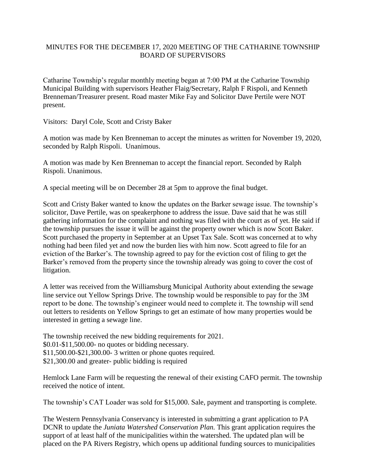## MINUTES FOR THE DECEMBER 17, 2020 MEETING OF THE CATHARINE TOWNSHIP BOARD OF SUPERVISORS

Catharine Township's regular monthly meeting began at 7:00 PM at the Catharine Township Municipal Building with supervisors Heather Flaig/Secretary, Ralph F Rispoli, and Kenneth Brenneman/Treasurer present. Road master Mike Fay and Solicitor Dave Pertile were NOT present.

Visitors: Daryl Cole, Scott and Cristy Baker

A motion was made by Ken Brenneman to accept the minutes as written for November 19, 2020, seconded by Ralph Rispoli. Unanimous.

A motion was made by Ken Brenneman to accept the financial report. Seconded by Ralph Rispoli. Unanimous.

A special meeting will be on December 28 at 5pm to approve the final budget.

Scott and Cristy Baker wanted to know the updates on the Barker sewage issue. The township's solicitor, Dave Pertile, was on speakerphone to address the issue. Dave said that he was still gathering information for the complaint and nothing was filed with the court as of yet. He said if the township pursues the issue it will be against the property owner which is now Scott Baker. Scott purchased the property in September at an Upset Tax Sale. Scott was concerned at to why nothing had been filed yet and now the burden lies with him now. Scott agreed to file for an eviction of the Barker's. The township agreed to pay for the eviction cost of filing to get the Barker's removed from the property since the township already was going to cover the cost of litigation.

A letter was received from the Williamsburg Municipal Authority about extending the sewage line service out Yellow Springs Drive. The township would be responsible to pay for the 3M report to be done. The township's engineer would need to complete it. The township will send out letters to residents on Yellow Springs to get an estimate of how many properties would be interested in getting a sewage line.

The township received the new bidding requirements for 2021. \$0.01-\$11,500.00- no quotes or bidding necessary. \$11,500.00-\$21,300.00- 3 written or phone quotes required. \$21,300.00 and greater- public bidding is required

Hemlock Lane Farm will be requesting the renewal of their existing CAFO permit. The township received the notice of intent.

The township's CAT Loader was sold for \$15,000. Sale, payment and transporting is complete.

The Western Pennsylvania Conservancy is interested in submitting a grant application to PA DCNR to update the *Juniata Watershed Conservation Plan.* This grant application requires the support of at least half of the municipalities within the watershed. The updated plan will be placed on the PA Rivers Registry, which opens up additional funding sources to municipalities